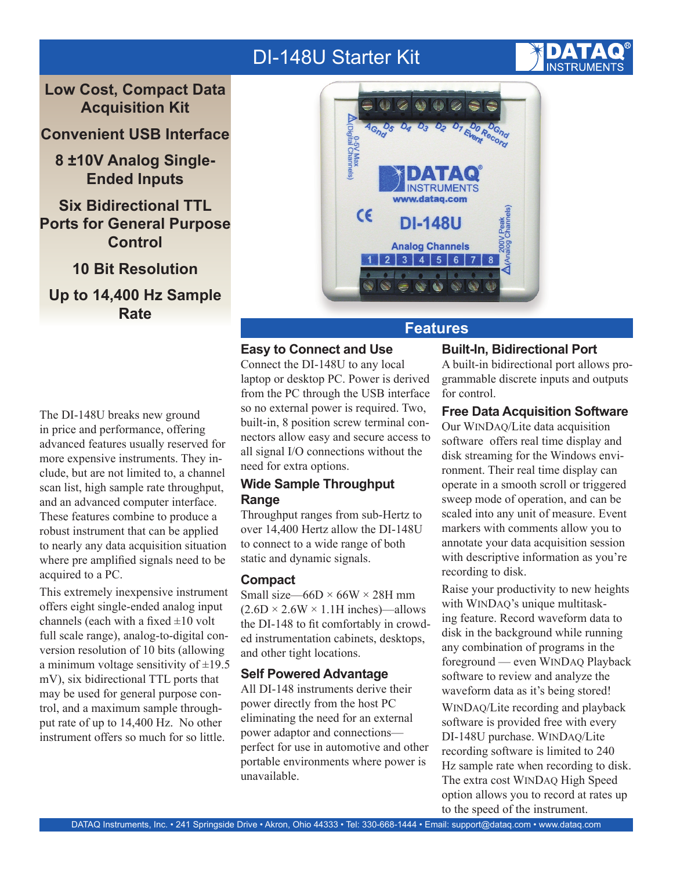# DI-148U Starter Kit

**Low Cost, Compact Data Acquisition Kit**

**Convenient USB Interface**

**8 ±10V Analog Single-Ended Inputs**

**Six Bidirectional TTL Ports for General Purpose Control**

**10 Bit Resolution Up to 14,400 Hz Sample Rate**



#### **Features**

# **Easy to Connect and Use**

Connect the DI-148U to any local laptop or desktop PC. Power is derived from the PC through the USB interface so no external power is required. Two, built-in, 8 position screw terminal connectors allow easy and secure access to all signal I/O connections without the need for extra options.

# **Wide Sample Throughput Range**

Throughput ranges from sub-Hertz to over 14,400 Hertz allow the DI-148U to connect to a wide range of both static and dynamic signals.

### **Compact**

Small size—66D  $\times$  66W  $\times$  28H mm  $(2.6D \times 2.6W \times 1.1H$  inches)—allows the DI-148 to fit comfortably in crowded instrumentation cabinets, desktops, and other tight locations.

#### **Self Powered Advantage**

All DI-148 instruments derive their power directly from the host PC eliminating the need for an external power adaptor and connections perfect for use in automotive and other portable environments where power is unavailable.

### **Built-In, Bidirectional Port**

A built-in bidirectional port allows programmable discrete inputs and outputs for control.

# **Free Data Acquisition Software**

Our WINDAQ/Lite data acquisition software offers real time display and disk streaming for the Windows environment. Their real time display can operate in a smooth scroll or triggered sweep mode of operation, and can be scaled into any unit of measure. Event markers with comments allow you to annotate your data acquisition session with descriptive information as you're recording to disk.

Raise your productivity to new heights with WINDAQ's unique multitasking feature. Record waveform data to disk in the background while running any combination of programs in the foreground — even WINDAQ Playback software to review and analyze the waveform data as it's being stored!

WINDAQ/Lite recording and playback software is provided free with every DI-148U purchase. WINDAQ/Lite recording software is limited to 240 Hz sample rate when recording to disk. The extra cost WINDAQ High Speed option allows you to record at rates up to the speed of the instrument.

The DI-148U breaks new ground in price and performance, offering advanced features usually reserved for more expensive instruments. They include, but are not limited to, a channel scan list, high sample rate throughput, and an advanced computer interface. These features combine to produce a robust instrument that can be applied to nearly any data acquisition situation where pre amplified signals need to be acquired to a PC.

This extremely inexpensive instrument offers eight single-ended analog input channels (each with a fixed  $\pm 10$  volt full scale range), analog-to-digital conversion resolution of 10 bits (allowing a minimum voltage sensitivity of  $\pm$ 19.5 mV), six bidirectional TTL ports that may be used for general purpose control, and a maximum sample throughput rate of up to 14,400 Hz. No other instrument offers so much for so little.